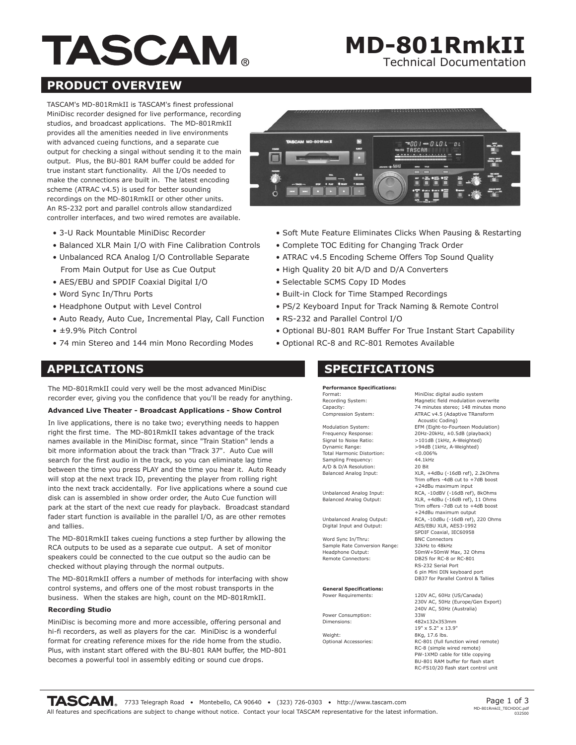# **TASCAM.**

## Technical Documentation **MD-801RmkII**

#### **PRODUCT OVERVIEW**

TASCAM's MD-801RmkII is TASCAM's finest professional MiniDisc recorder designed for live performance, recording studios, and broadcast applications. The MD-801RmkII provides all the amenities needed in live environments with advanced cueing functions, and a separate cue output for checking a singal without sending it to the main output. Plus, the BU-801 RAM buffer could be added for true instant start functionality. All the I/Os needed to make the connections are built in. The latest encoding scheme (ATRAC v4.5) is used for better sounding recordings on the MD-801RmkII or other other units. An RS-232 port and parallel controls allow standardized controller interfaces, and two wired remotes are available.

- 3-U Rack Mountable MiniDisc Recorder
- Balanced XLR Main I/O with Fine Calibration Controls
- Unbalanced RCA Analog I/O Controllable Separate From Main Output for Use as Cue Output
- AES/EBU and SPDIF Coaxial Digital I/O
- Word Sync In/Thru Ports
- Headphone Output with Level Control
- Auto Ready, Auto Cue, Incremental Play, Call Function
- ±9.9% Pitch Control
- 74 min Stereo and 144 min Mono Recording Modes

#### **APPLICATIONS**

The MD-801RmkII could very well be the most advanced MiniDisc recorder ever, giving you the confidence that you'll be ready for anything.

#### **Advanced Live Theater - Broadcast Applications - Show Control**

In live applications, there is no take two; everything needs to happen right the first time. The MD-801RmkII takes advantage of the track names available in the MiniDisc format, since "Train Station" lends a bit more information about the track than "Track 37". Auto Cue will search for the first audio in the track, so you can eliminate lag time between the time you press PLAY and the time you hear it. Auto Ready will stop at the next track ID, preventing the player from rolling right into the next track accidentally. For live applications where a sound cue disk can is assembled in show order order, the Auto Cue function will park at the start of the next cue ready for playback. Broadcast standard fader start function is available in the parallel I/O, as are other remotes and tallies.

The MD-801RmkII takes cueing functions a step further by allowing the RCA outputs to be used as a separate cue output. A set of monitor speakers could be connected to the cue output so the audio can be checked without playing through the normal outputs.

The MD-801RmkII offers a number of methods for interfacing with show control systems, and offers one of the most robust transports in the business. When the stakes are high, count on the MD-801RmkII.

#### **Recording Studio**

MiniDisc is becoming more and more accessible, offering personal and hi-fi recorders, as well as players for the car. MiniDisc is a wonderful format for creating reference mixes for the ride home from the studio. Plus, with instant start offered with the BU-801 RAM buffer, the MD-801 becomes a powerful tool in assembly editing or sound cue drops.



- Soft Mute Feature Eliminates Clicks When Pausing & Restarting
- Complete TOC Editing for Changing Track Order
- ATRAC v4.5 Encoding Scheme Offers Top Sound Quality
- High Quality 20 bit A/D and D/A Converters
- Selectable SCMS Copy ID Modes
- Built-in Clock for Time Stamped Recordings
- PS/2 Keyboard Input for Track Naming & Remote Control
- RS-232 and Parallel Control I/O
- Optional BU-801 RAM Buffer For True Instant Start Capability
- Optional RC-8 and RC-801 Remotes Available

#### **SPECIFICATIONS**

**Performance Specifications:** Format: Recording System: Capacity: Compression System:

Modulation System: Frequency Response: Signal to Noise Ratio: Dynamic Range: Total Harmonic Distortion: Sampling Frequency: A/D & D/A Resolution: Balanced Analog Input:

Unbalanced Analog Input: Balanced Analog Output:

Unbalanced Analog Output: Digital Input and Output:

Word Sync In/Thru: Sample Rate Conversion Range: Headphone Output: Remote Connectors:

**General Specifications:** Power Requirements:

Power Consumption: Dimensions:

Weight: Optional Accessories: MiniDisc digital audio system Magnetic field modulation overwrite 74 minutes stereo; 148 minutes mono ATRAC v4.5 (Adaptive TRansform Acoustic Coding) EFM (Eight-to-Fourteen Modulation) 20Hz-20kHz, ±0.5dB (playback) >101dB (1kHz, A-Weighted) >94dB (1kHz, A-Weighted)  $<0.006%$ 44.1kHz 20 Bit XLR, +4dBu (-16dB ref), 2.2kOhms Trim offers -4dB cut to +7dB boost +24dBu maximum input RCA, -10dBV (-16dB ref), 8kOhms XLR, +4dBu (-16dB ref), 11 Ohms Trim offers -7dB cut to +4dB boost +24dBu maximum output RCA, -10dBu (-16dB ref), 220 Ohms AES/EBU XLR, AES3-1992 SPDIF Coaxial, IEC60958 BNC Connectors 32kHz to 48kHz 50mW+50mW Max, 32 Ohms DB25 for RC-8 or RC-801 RS-232 Serial Port 6 pin Mini DIN keyboard port DB37 for Parallel Control & Tallies 120V AC, 60Hz (US/Canada)

230V AC, 50Hz (Europe/Gen Export) 240V AC, 50Hz (Australia) 33W 482x132x353mm 19" x 5.2" x 13.9" 8Kg, 17.6 lbs. RC-801 (full function wired remote) RC-8 (simple wired remote) PW-1XMD cable for title copying BU-801 RAM buffer for flash start RC-FS10/20 flash start control unit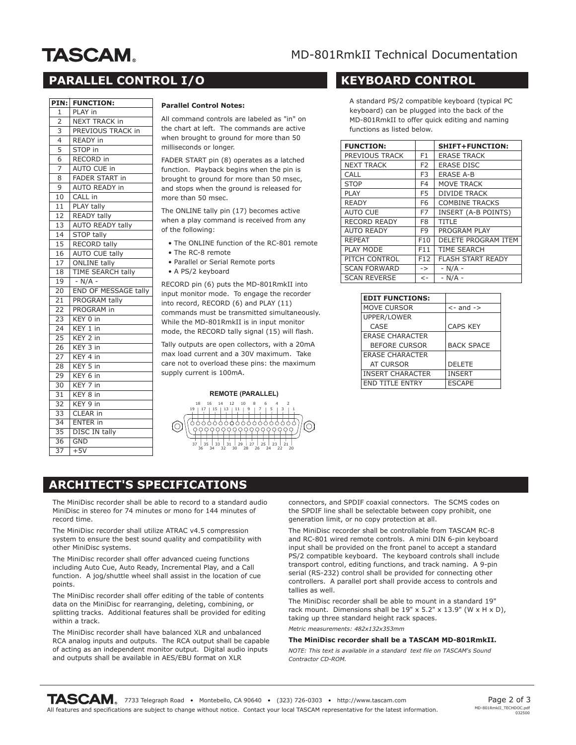# **TASCAM.**

### MD-801RmkII Technical Documentation

## **PARALLEL CONTROL I/O**

|                 | <b>FUNCTION:</b>             |  |  |  |
|-----------------|------------------------------|--|--|--|
| 1               | PLAY in                      |  |  |  |
| $\overline{2}$  | <b>NEXT TRACK in</b>         |  |  |  |
| 3               | PREVIOUS TRACK in            |  |  |  |
| $\overline{4}$  | READY in                     |  |  |  |
| $\overline{5}$  | STOP in                      |  |  |  |
| 6               | RECORD in                    |  |  |  |
| 7               | <b>AUTO CUE in</b>           |  |  |  |
| 8               | FADER START in               |  |  |  |
| 9               | AUTO READY in                |  |  |  |
| 10              | CALL in                      |  |  |  |
| 11              | PLAY tally                   |  |  |  |
| 12              | READY tally                  |  |  |  |
| 13              | <b>AUTO READY tally</b>      |  |  |  |
| 14              | <b>STOP tally</b>            |  |  |  |
| 15              | <b>RECORD tally</b>          |  |  |  |
| 16              | <b>AUTO CUE tally</b>        |  |  |  |
| 17              | <b>ONLINE tally</b>          |  |  |  |
| 18              | <b>TIME SEARCH tally</b>     |  |  |  |
| 19              | $- N/A -$                    |  |  |  |
| 20              | END OF MESSAGE tally         |  |  |  |
| 21              | PROGRAM tally                |  |  |  |
| 22              | PROGRAM in                   |  |  |  |
| 23              | KEY 0 in                     |  |  |  |
| 24              | $KEY$ 1 in                   |  |  |  |
| 25              | KEY 2 in                     |  |  |  |
| 26              | KEY 3 in                     |  |  |  |
| 27              | KEY 4 in                     |  |  |  |
| 28              | KEY 5<br>in                  |  |  |  |
| 29              | $\overline{\text{KEY}}$ 6 in |  |  |  |
| 30              | KEY <sub>7</sub><br>in       |  |  |  |
| 31              | KEY <sub>8</sub><br>in       |  |  |  |
| 32              | KEY 9 in                     |  |  |  |
| $3\overline{3}$ | CLEAR in                     |  |  |  |
| 34              | <b>ENTER in</b>              |  |  |  |
| 35              | <b>DISC IN tally</b>         |  |  |  |
| 36              | <b>GND</b>                   |  |  |  |
| $\overline{37}$ | $+5V$                        |  |  |  |

#### **Parallel Control Notes:**

All command controls are labeled as "in" on the chart at left. The commands are active when brought to ground for more than 50 milliseconds or longer.

FADER START pin (8) operates as a latched function. Playback begins when the pin is brought to ground for more than 50 msec, and stops when the ground is released for more than 50 msec.

The ONLINE tally pin (17) becomes active when a play command is received from any of the following:

- The ONLINE function of the RC-801 remote
- The RC-8 remote
- Parallel or Serial Remote ports
- A PS/2 keyboard

RECORD pin (6) puts the MD-801RmkII into input monitor mode. To engage the recorder into record, RECORD (6) and PLAY (11) commands must be transmitted simultaneously. While the MD-801RmkII is in input monitor mode, the RECORD tally signal (15) will flash.

Tally outputs are open collectors, with a 20mA max load current and a 30V maximum. Take care not to overload these pins: the maximum supply current is 100mA.

#### **REMOTE (PARALLEL)**



#### **KEYBOARD CONTROL**

A standard PS/2 compatible keyboard (typical PC keyboard) can be plugged into the back of the MD-801RmkII to offer quick editing and naming functions as listed below.

| <b>FUNCTION:</b>    |                 | SHIFT+FUNCTION:          |
|---------------------|-----------------|--------------------------|
| PREVIOUS TRACK      | F <sub>1</sub>  | <b>ERASE TRACK</b>       |
| <b>NEXT TRACK</b>   | F <sub>2</sub>  | <b>ERASE DISC</b>        |
| CALL                | F <sub>3</sub>  | <b>ERASE A-B</b>         |
| <b>STOP</b>         | F4              | <b>MOVE TRACK</b>        |
| PLAY                | F5              | <b>DIVIDE TRACK</b>      |
| <b>READY</b>        | F <sub>6</sub>  | <b>COMBINE TRACKS</b>    |
| <b>AUTO CUE</b>     | F7              | INSERT (A-B POINTS)      |
| <b>RECORD READY</b> | F8              | <b>TITLE</b>             |
| <b>AUTO READY</b>   | F9              | PROGRAM PLAY             |
| <b>REPEAT</b>       | F <sub>10</sub> | DELETE PROGRAM ITEM      |
| PLAY MODE           | F11             | <b>TIME SEARCH</b>       |
| PITCH CONTROL       | F12             | <b>FLASH START READY</b> |
| <b>SCAN FORWARD</b> | $\rightarrow$   | $- N/A -$                |
| <b>SCAN REVERSE</b> | $\leftarrow$    | $- N/A -$                |

| <b>EDIT FUNCTIONS:</b>  |                   |
|-------------------------|-------------------|
| MOVE CURSOR             | $\leq$ - and ->   |
| UPPER/LOWER             |                   |
| CASE                    | <b>CAPS KEY</b>   |
| <b>ERASE CHARACTER</b>  |                   |
| <b>BEFORE CURSOR</b>    | <b>BACK SPACE</b> |
| <b>ERASE CHARACTER</b>  |                   |
| <b>AT CURSOR</b>        | <b>DELETE</b>     |
| <b>INSERT CHARACTER</b> | <b>INSERT</b>     |
| <b>END TITLE ENTRY</b>  | <b>ESCAPE</b>     |

#### **ARCHITECT'S SPECIFICATIONS**

The MiniDisc recorder shall be able to record to a standard audio MiniDisc in stereo for 74 minutes or mono for 144 minutes of record time.

The MiniDisc recorder shall utilize ATRAC v4.5 compression system to ensure the best sound quality and compatibility with other MiniDisc systems.

The MiniDisc recorder shall offer advanced cueing functions including Auto Cue, Auto Ready, Incremental Play, and a Call function. A jog/shuttle wheel shall assist in the location of cue points.

The MiniDisc recorder shall offer editing of the table of contents data on the MiniDisc for rearranging, deleting, combining, or splitting tracks. Additional features shall be provided for editing within a track.

The MiniDisc recorder shall have balanced XLR and unbalanced RCA analog inputs and outputs. The RCA output shall be capable of acting as an independent monitor output. Digital audio inputs and outputs shall be available in AES/EBU format on XLR

connectors, and SPDIF coaxial connectors. The SCMS codes on the SPDIF line shall be selectable between copy prohibit, one generation limit, or no copy protection at all.

The MiniDisc recorder shall be controllable from TASCAM RC-8 and RC-801 wired remote controls. A mini DIN 6-pin keyboard input shall be provided on the front panel to accept a standard PS/2 compatible keyboard. The keyboard controls shall include transport control, editing functions, and track naming. A 9-pin serial (RS-232) control shall be provided for connecting other controllers. A parallel port shall provide access to controls and tallies as well.

The MiniDisc recorder shall be able to mount in a standard 19" rack mount. Dimensions shall be  $19" \times 5.2" \times 13.9"$  (W  $\times$  H  $\times$  D), taking up three standard height rack spaces.

*Metric measurements: 482x132x353mm*

#### **The MiniDisc recorder shall be a TASCAM MD-801RmkII.**

*NOTE: This text is available in a standard text file on TASCAM's Sound Contractor CD-ROM.*